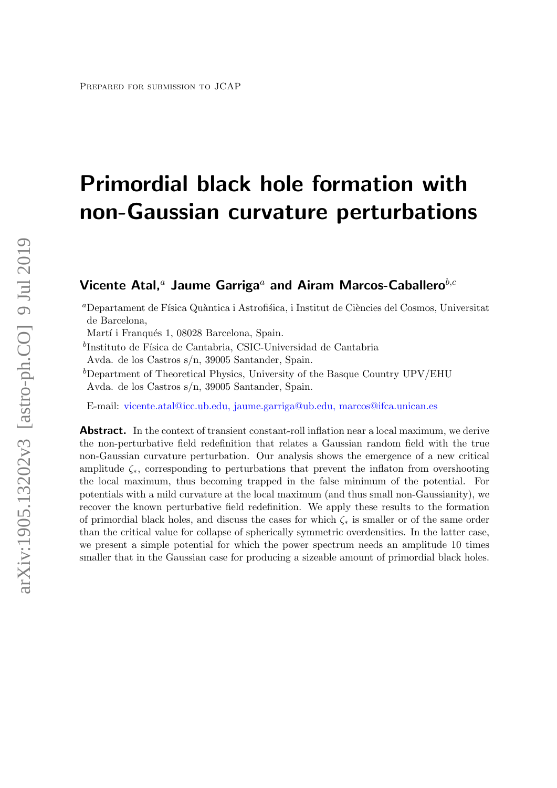# Primordial black hole formation with non-Gaussian curvature perturbations

# Vicente Atal,<sup>a</sup> Jaume Garriga<sup>a</sup> and Airam Marcos-Caballero<sup>b,c</sup>

<sup>a</sup>Departament de Física Quàntica i Astrofisica, i Institut de Ciències del Cosmos, Universitat de Barcelona,

Martí i Franqués 1, 08028 Barcelona, Spain.

 $^{b}$ Instituto de Física de Cantabria, CSIC-Universidad de Cantabria

Avda. de los Castros s/n, 39005 Santander, Spain.

 ${}^{b}$ Department of Theoretical Physics, University of the Basque Country UPV/EHU Avda. de los Castros s/n, 39005 Santander, Spain.

E-mail: [vicente.atal@icc.ub.edu, jaume.garriga@ub.edu, marcos@ifca.unican.es](mailto:vicente.atal@icc.ub.edu, jaume.garriga@ub.edu, marcos@ifca.unican.es)

**Abstract.** In the context of transient constant-roll inflation near a local maximum, we derive the non-perturbative field redefinition that relates a Gaussian random field with the true non-Gaussian curvature perturbation. Our analysis shows the emergence of a new critical amplitude  $\zeta_*$ , corresponding to perturbations that prevent the inflaton from overshooting the local maximum, thus becoming trapped in the false minimum of the potential. For potentials with a mild curvature at the local maximum (and thus small non-Gaussianity), we recover the known perturbative field redefinition. We apply these results to the formation of primordial black holes, and discuss the cases for which  $\zeta_*$  is smaller or of the same order than the critical value for collapse of spherically symmetric overdensities. In the latter case, we present a simple potential for which the power spectrum needs an amplitude 10 times smaller that in the Gaussian case for producing a sizeable amount of primordial black holes.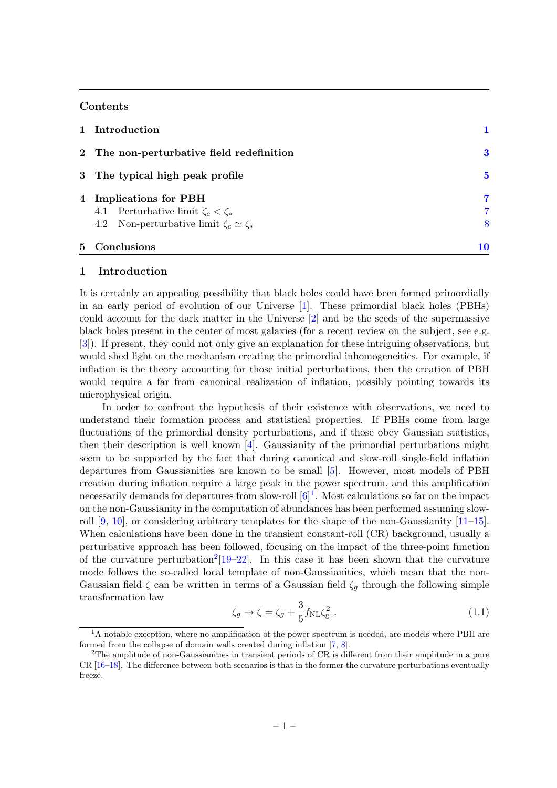## Contents

| 1 Introduction                                                                                                              |             |
|-----------------------------------------------------------------------------------------------------------------------------|-------------|
| 2 The non-perturbative field redefinition                                                                                   | 3           |
| 3 The typical high peak profile                                                                                             | 5           |
| 4 Implications for PBH<br>4.1 Perturbative limit $\zeta_c < \zeta_*$<br>4.2 Non-perturbative limit $\zeta_c \simeq \zeta_*$ | 7<br>7<br>8 |
| 5 Conclusions                                                                                                               | 10          |

#### <span id="page-1-0"></span>1 Introduction

It is certainly an appealing possibility that black holes could have been formed primordially in an early period of evolution of our Universe [\[1\]](#page-10-1). These primordial black holes (PBHs) could account for the dark matter in the Universe [\[2\]](#page-10-2) and be the seeds of the supermassive black holes present in the center of most galaxies (for a recent review on the subject, see e.g. [\[3\]](#page-10-3)). If present, they could not only give an explanation for these intriguing observations, but would shed light on the mechanism creating the primordial inhomogeneities. For example, if inflation is the theory accounting for those initial perturbations, then the creation of PBH would require a far from canonical realization of inflation, possibly pointing towards its microphysical origin.

In order to confront the hypothesis of their existence with observations, we need to understand their formation process and statistical properties. If PBHs come from large fluctuations of the primordial density perturbations, and if those obey Gaussian statistics, then their description is well known [\[4\]](#page-10-4). Gaussianity of the primordial perturbations might seem to be supported by the fact that during canonical and slow-roll single-field inflation departures from Gaussianities are known to be small [\[5\]](#page-10-5). However, most models of PBH creation during inflation require a large peak in the power spectrum, and this amplification necessarily demands for departures from slow-roll  $[6]^1$  $[6]^1$  $[6]^1$ . Most calculations so far on the impact on the non-Gaussianity in the computation of abundances has been performed assuming slowroll  $[9, 10]$  $[9, 10]$  $[9, 10]$ , or considering arbitrary templates for the shape of the non-Gaussianity  $[11-15]$  $[11-15]$ . When calculations have been done in the transient constant-roll (CR) background, usually a perturbative approach has been followed, focusing on the impact of the three-point function of the curvature perturbation<sup>[2](#page-1-2)</sup>[\[19](#page-11-5)[–22\]](#page-11-6). In this case it has been shown that the curvature mode follows the so-called local template of non-Gaussianities, which mean that the non-Gaussian field  $\zeta$  can be written in terms of a Gaussian field  $\zeta_g$  through the following simple transformation law

<span id="page-1-3"></span>
$$
\zeta_g \to \zeta = \zeta_g + \frac{3}{5} f_{\rm NL} \zeta_g^2 \ . \tag{1.1}
$$

<span id="page-1-1"></span><sup>&</sup>lt;sup>1</sup>A notable exception, where no amplification of the power spectrum is needed, are models where PBH are formed from the collapse of domain walls created during inflation [\[7,](#page-11-7) [8\]](#page-11-8).

<span id="page-1-2"></span><sup>&</sup>lt;sup>2</sup>The amplitude of non-Gaussianities in transient periods of CR is different from their amplitude in a pure CR [\[16](#page-11-9)[–18\]](#page-11-10). The difference between both scenarios is that in the former the curvature perturbations eventually freeze.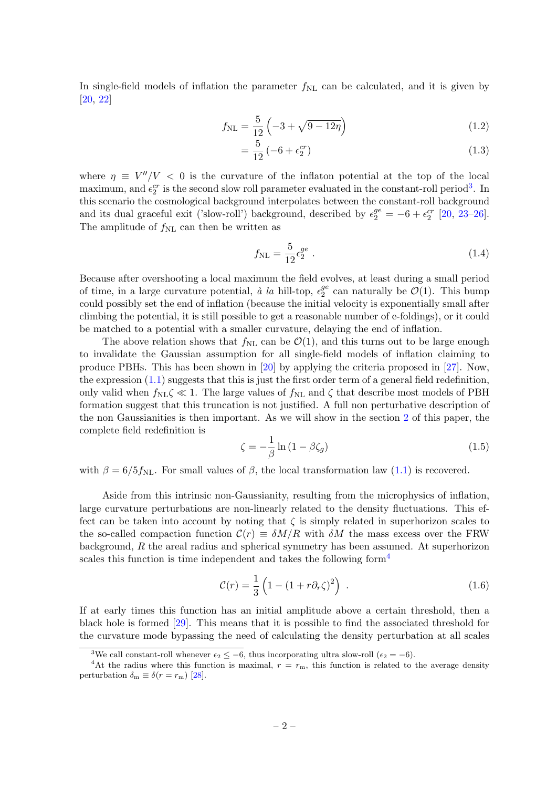In single-field models of inflation the parameter  $f_{\rm NL}$  can be calculated, and it is given by [\[20,](#page-11-11) [22\]](#page-11-6)

$$
f_{\rm NL} = \frac{5}{12} \left( -3 + \sqrt{9 - 12\eta} \right) \tag{1.2}
$$

$$
=\frac{5}{12}(-6+\epsilon_2^{cr})
$$
\n(1.3)

where  $\eta \equiv V''/V$  < 0 is the curvature of the inflaton potential at the top of the local maximum, and  $\epsilon_2^{cr}$  is the second slow roll parameter evaluated in the constant-roll period<sup>[3](#page-2-0)</sup>. In this scenario the cosmological background interpolates between the constant-roll background and its dual graceful exit ('slow-roll') background, described by  $\epsilon_2^{ge} = -6 + \epsilon_2^{cr}$  [\[20,](#page-11-11) [23](#page-11-12)[–26\]](#page-11-13). The amplitude of  $f_{\rm NL}$  can then be written as

$$
f_{\rm NL} = \frac{5}{12} \epsilon_2^{ge} \ . \tag{1.4}
$$

Because after overshooting a local maximum the field evolves, at least during a small period of time, in a large curvature potential, à la hill-top,  $\epsilon_2^{ge}$  $_2^{ge}$  can naturally be  $\mathcal{O}(1)$ . This bump could possibly set the end of inflation (because the initial velocity is exponentially small after climbing the potential, it is still possible to get a reasonable number of e-foldings), or it could be matched to a potential with a smaller curvature, delaying the end of inflation.

The above relation shows that  $f_{\text{NL}}$  can be  $\mathcal{O}(1)$ , and this turns out to be large enough to invalidate the Gaussian assumption for all single-field models of inflation claiming to produce PBHs. This has been shown in [\[20\]](#page-11-11) by applying the criteria proposed in [\[27\]](#page-11-14). Now, the expression [\(1.1\)](#page-1-3) suggests that this is just the first order term of a general field redefinition, only valid when  $f_{\rm NL}\zeta \ll 1$ . The large values of  $f_{\rm NL}$  and  $\zeta$  that describe most models of PBH formation suggest that this truncation is not justified. A full non perturbative description of the non Gaussianities is then important. As we will show in the section [2](#page-3-0) of this paper, the complete field redefinition is

<span id="page-2-2"></span>
$$
\zeta = -\frac{1}{\beta} \ln \left( 1 - \beta \zeta_g \right) \tag{1.5}
$$

with  $\beta = 6/5 f_{\text{NL}}$ . For small values of  $\beta$ , the local transformation law [\(1.1\)](#page-1-3) is recovered.

Aside from this intrinsic non-Gaussianity, resulting from the microphysics of inflation, large curvature perturbations are non-linearly related to the density fluctuations. This effect can be taken into account by noting that  $\zeta$  is simply related in superhorizon scales to the so-called compaction function  $\mathcal{C}(r) \equiv \delta M/R$  with  $\delta M$  the mass excess over the FRW background, R the areal radius and spherical symmetry has been assumed. At superhorizon scales this function is time independent and takes the following form<sup>[4](#page-2-1)</sup>

$$
\mathcal{C}(r) = \frac{1}{3} \left( 1 - (1 + r \partial_r \zeta)^2 \right) \tag{1.6}
$$

If at early times this function has an initial amplitude above a certain threshold, then a black hole is formed [\[29\]](#page-12-0). This means that it is possible to find the associated threshold for the curvature mode bypassing the need of calculating the density perturbation at all scales

<span id="page-2-1"></span><span id="page-2-0"></span><sup>&</sup>lt;sup>3</sup>We call constant-roll whenever  $\epsilon_2 \le -6$ , thus incorporating ultra slow-roll ( $\epsilon_2 = -6$ ).

<sup>&</sup>lt;sup>4</sup>At the radius where this function is maximal,  $r = r<sub>m</sub>$ , this function is related to the average density perturbation  $\delta_{\rm m} \equiv \delta(r = r_{\rm m})$  [\[28\]](#page-12-1).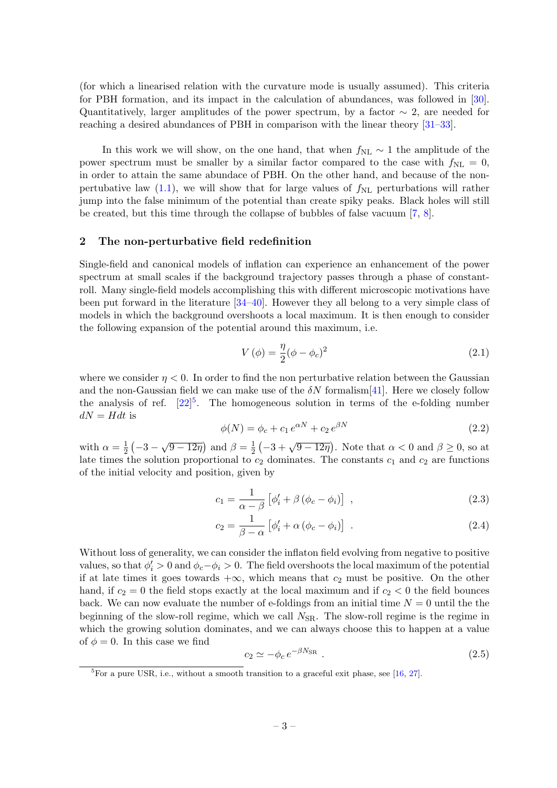(for which a linearised relation with the curvature mode is usually assumed). This criteria for PBH formation, and its impact in the calculation of abundances, was followed in [\[30\]](#page-12-2). Quantitatively, larger amplitudes of the power spectrum, by a factor  $\sim 2$ , are needed for reaching a desired abundances of PBH in comparison with the linear theory [\[31–](#page-12-3)[33\]](#page-12-4).

In this work we will show, on the one hand, that when  $f_{NL} \sim 1$  the amplitude of the power spectrum must be smaller by a similar factor compared to the case with  $f_{\rm NL} = 0$ , in order to attain the same abundace of PBH. On the other hand, and because of the nonpertubative law  $(1.1)$ , we will show that for large values of  $f_{\rm NL}$  perturbations will rather jump into the false minimum of the potential than create spiky peaks. Black holes will still be created, but this time through the collapse of bubbles of false vacuum [\[7,](#page-11-7) [8\]](#page-11-8).

# <span id="page-3-0"></span>2 The non-perturbative field redefinition

Single-field and canonical models of inflation can experience an enhancement of the power spectrum at small scales if the background trajectory passes through a phase of constantroll. Many single-field models accomplishing this with different microscopic motivations have been put forward in the literature [\[34–](#page-12-5)[40\]](#page-12-6). However they all belong to a very simple class of models in which the background overshoots a local maximum. It is then enough to consider the following expansion of the potential around this maximum, i.e.

$$
V(\phi) = \frac{\eta}{2}(\phi - \phi_c)^2
$$
\n(2.1)

where we consider  $\eta < 0$ . In order to find the non perturbative relation between the Gaussian and the non-Gaussian field we can make use of the  $\delta N$  formalism [\[41\]](#page-12-7). Here we closely follow the analysis of ref.  $[22]^{5}$  $[22]^{5}$  $[22]^{5}$  $[22]^{5}$ . The homogeneous solution in terms of the e-folding number  $dN = Hdt$  is

<span id="page-3-2"></span>
$$
\phi(N) = \phi_c + c_1 e^{\alpha N} + c_2 e^{\beta N} \tag{2.2}
$$

with  $\alpha = \frac{1}{2}$  $\frac{1}{2}(-3-\sqrt{9-12\eta})$  and  $\beta=\frac{1}{2}$  $\frac{1}{2}(-3+\sqrt{9-12\eta})$ . Note that  $\alpha < 0$  and  $\beta \ge 0$ , so at late times the solution proportional to  $c_2$  dominates. The constants  $c_1$  and  $c_2$  are functions of the initial velocity and position, given by

$$
c_1 = \frac{1}{\alpha - \beta} \left[ \phi_i' + \beta \left( \phi_c - \phi_i \right) \right] , \qquad (2.3)
$$

$$
c_2 = \frac{1}{\beta - \alpha} \left[ \phi_i' + \alpha \left( \phi_c - \phi_i \right) \right] \tag{2.4}
$$

Without loss of generality, we can consider the inflaton field evolving from negative to positive values, so that  $\phi_i' > 0$  and  $\phi_c - \phi_i > 0$ . The field overshoots the local maximum of the potential if at late times it goes towards  $+\infty$ , which means that  $c_2$  must be positive. On the other hand, if  $c_2 = 0$  the field stops exactly at the local maximum and if  $c_2 < 0$  the field bounces back. We can now evaluate the number of e-foldings from an initial time  $N = 0$  until the the beginning of the slow-roll regime, which we call  $N_{\rm SR}$ . The slow-roll regime is the regime in which the growing solution dominates, and we can always choose this to happen at a value of  $\phi = 0$ . In this case we find

$$
c_2 \simeq -\phi_c \, e^{-\beta N_{\rm SR}} \,. \tag{2.5}
$$

<span id="page-3-1"></span> ${}^{5}$ For a pure USR, i.e., without a smooth transition to a graceful exit phase, see [\[16,](#page-11-9) [27\]](#page-11-14).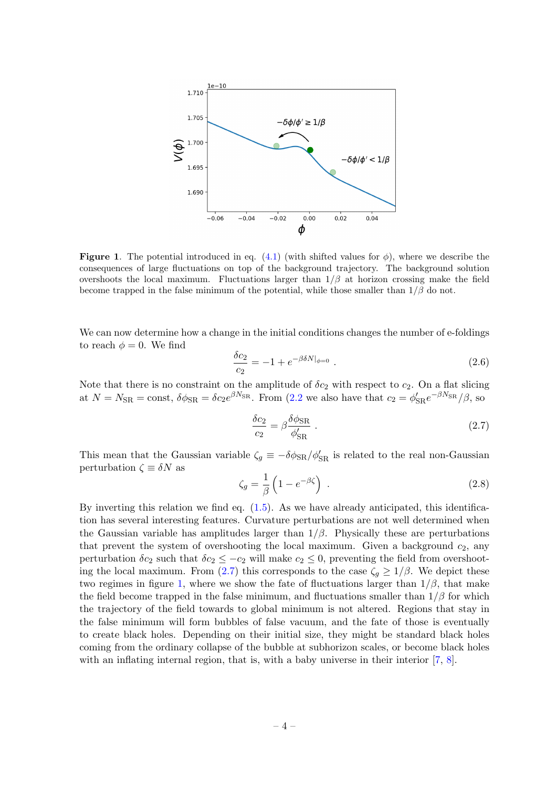<span id="page-4-1"></span>

**Figure 1.** The potential introduced in eq. [\(4.1\)](#page-8-1) (with shifted values for  $\phi$ ), where we describe the consequences of large fluctuations on top of the background trajectory. The background solution overshoots the local maximum. Fluctuations larger than  $1/\beta$  at horizon crossing make the field become trapped in the false minimum of the potential, while those smaller than  $1/\beta$  do not.

We can now determine how a change in the initial conditions changes the number of e-foldings to reach  $\phi = 0$ . We find

$$
\frac{\delta c_2}{c_2} = -1 + e^{-\beta \delta N|_{\phi=0}}.
$$
\n(2.6)

Note that there is no constraint on the amplitude of  $\delta c_2$  with respect to  $c_2$ . On a flat slicing at  $N = N_{\rm SR} = \text{const}$ ,  $\delta\phi_{\rm SR} = \delta c_2 e^{\beta N_{\rm SR}}$ . From [\(2.2](#page-3-2) we also have that  $c_2 = \phi'_{\rm SR} e^{-\beta N_{\rm SR}}/\beta$ , so

<span id="page-4-0"></span>
$$
\frac{\delta c_2}{c_2} = \beta \frac{\delta \phi_{\rm SR}}{\phi_{\rm SR}'} \tag{2.7}
$$

This mean that the Gaussian variable  $\zeta_g \equiv -\delta \phi_{\rm SR}/\phi'_{\rm SR}$  is related to the real non-Gaussian perturbation  $\zeta \equiv \delta N$  as

$$
\zeta_g = \frac{1}{\beta} \left( 1 - e^{-\beta \zeta} \right) \tag{2.8}
$$

By inverting this relation we find eq.  $(1.5)$ . As we have already anticipated, this identification has several interesting features. Curvature perturbations are not well determined when the Gaussian variable has amplitudes larger than  $1/\beta$ . Physically these are perturbations that prevent the system of overshooting the local maximum. Given a background  $c_2$ , any perturbation  $\delta c_2$  such that  $\delta c_2 \leq -c_2$  will make  $c_2 \leq 0$ , preventing the field from overshoot-ing the local maximum. From [\(2.7\)](#page-4-0) this corresponds to the case  $\zeta_g \geq 1/\beta$ . We depict these two regimes in figure [1,](#page-4-1) where we show the fate of fluctuations larger than  $1/\beta$ , that make the field become trapped in the false minimum, and fluctuations smaller than  $1/\beta$  for which the trajectory of the field towards to global minimum is not altered. Regions that stay in the false minimum will form bubbles of false vacuum, and the fate of those is eventually to create black holes. Depending on their initial size, they might be standard black holes coming from the ordinary collapse of the bubble at subhorizon scales, or become black holes with an inflating internal region, that is, with a baby universe in their interior [\[7,](#page-11-7) [8\]](#page-11-8).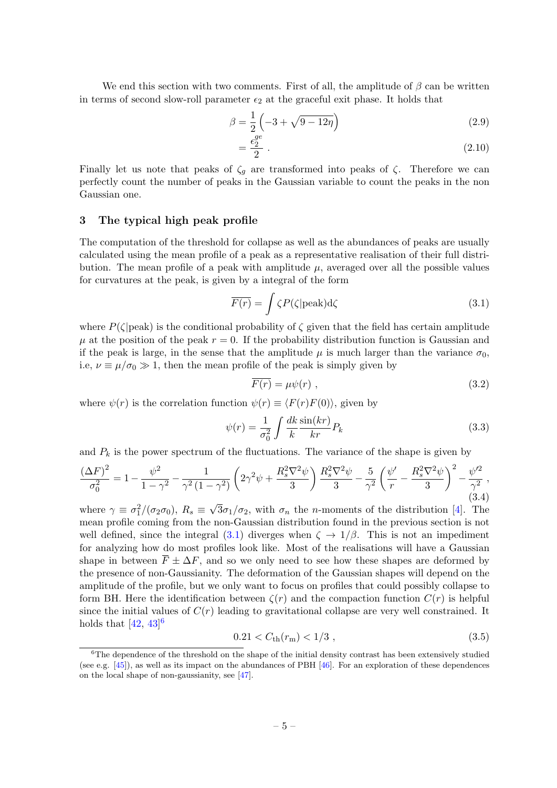We end this section with two comments. First of all, the amplitude of  $\beta$  can be written in terms of second slow-roll parameter  $\epsilon_2$  at the graceful exit phase. It holds that

$$
\beta = \frac{1}{2} \left( -3 + \sqrt{9 - 12\eta} \right) \tag{2.9}
$$

$$
=\frac{\epsilon_2^{ge}}{2} \tag{2.10}
$$

Finally let us note that peaks of  $\zeta_q$  are transformed into peaks of  $\zeta$ . Therefore we can perfectly count the number of peaks in the Gaussian variable to count the peaks in the non Gaussian one.

### <span id="page-5-0"></span>3 The typical high peak profile

The computation of the threshold for collapse as well as the abundances of peaks are usually calculated using the mean profile of a peak as a representative realisation of their full distribution. The mean profile of a peak with amplitude  $\mu$ , averaged over all the possible values for curvatures at the peak, is given by a integral of the form

<span id="page-5-1"></span>
$$
\overline{F(r)} = \int \zeta P(\zeta | \text{peak}) \, \mathrm{d}\zeta \tag{3.1}
$$

where  $P(\zeta|peak)$  is the conditional probability of  $\zeta$  given that the field has certain amplitude  $\mu$  at the position of the peak  $r = 0$ . If the probability distribution function is Gaussian and if the peak is large, in the sense that the amplitude  $\mu$  is much larger than the variance  $\sigma_0$ , i.e,  $\nu \equiv \mu/\sigma_0 \gg 1$ , then the mean profile of the peak is simply given by

<span id="page-5-3"></span>
$$
\overline{F(r)} = \mu \psi(r) \tag{3.2}
$$

where  $\psi(r)$  is the correlation function  $\psi(r) \equiv \langle F(r)F(0) \rangle$ , given by

$$
\psi(r) = \frac{1}{\sigma_0^2} \int \frac{dk}{k} \frac{\sin(kr)}{kr} P_k \tag{3.3}
$$

and  $P_k$  is the power spectrum of the fluctuations. The variance of the shape is given by

<span id="page-5-4"></span>
$$
\frac{(\Delta F)^2}{\sigma_0^2} = 1 - \frac{\psi^2}{1 - \gamma^2} - \frac{1}{\gamma^2 (1 - \gamma^2)} \left( 2\gamma^2 \psi + \frac{R_s^2 \nabla^2 \psi}{3} \right) \frac{R_s^2 \nabla^2 \psi}{3} - \frac{5}{\gamma^2} \left( \frac{\psi'}{r} - \frac{R_s^2 \nabla^2 \psi}{3} \right)^2 - \frac{\psi'^2}{\gamma^2},\tag{3.4}
$$

where  $\gamma \equiv \sigma_1^2/(\sigma_2 \sigma_0)$ ,  $R_s \equiv$  $3\sigma_1/\sigma_2$ , with  $\sigma_n$  the *n*-moments of the distribution [\[4\]](#page-10-4). The mean profile coming from the non-Gaussian distribution found in the previous section is not well defined, since the integral [\(3.1\)](#page-5-1) diverges when  $\zeta \to 1/\beta$ . This is not an impediment for analyzing how do most profiles look like. Most of the realisations will have a Gaussian shape in between  $\overline{F} \pm \Delta F$ , and so we only need to see how these shapes are deformed by the presence of non-Gaussianity. The deformation of the Gaussian shapes will depend on the amplitude of the profile, but we only want to focus on profiles that could possibly collapse to form BH. Here the identification between  $\zeta(r)$  and the compaction function  $C(r)$  is helpful since the initial values of  $C(r)$  leading to gravitational collapse are very well constrained. It holds that  $[42, 43]$  $[42, 43]$  $[42, 43]$ <sup>[6](#page-5-2)</sup>

<span id="page-5-5"></span>
$$
0.21 < C_{\text{th}}(r_{\text{m}}) < 1/3 \tag{3.5}
$$

<span id="page-5-2"></span><sup>&</sup>lt;sup>6</sup>The dependence of the threshold on the shape of the initial density contrast has been extensively studied (see e.g.  $[45]$ ), as well as its impact on the abundances of PBH  $[46]$ . For an exploration of these dependences on the local shape of non-gaussianity, see [\[47\]](#page-12-12).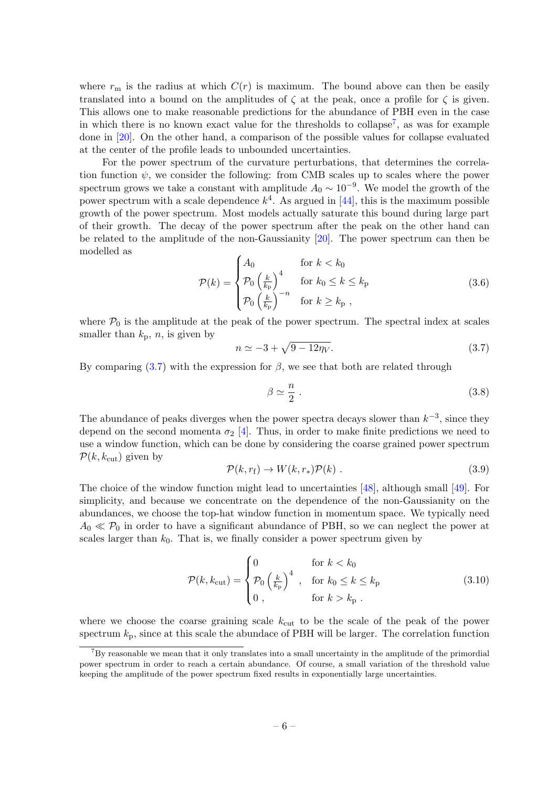where  $r<sub>m</sub>$  is the radius at which  $C(r)$  is maximum. The bound above can then be easily translated into a bound on the amplitudes of  $\zeta$  at the peak, once a profile for  $\zeta$  is given. This allows one to make reasonable predictions for the abundance of PBH even in the case in which there is no known exact value for the thresholds to collapse<sup>[7](#page-6-0)</sup>, as was for example done in [\[20\]](#page-11-11). On the other hand, a comparison of the possible values for collapse evaluated at the center of the profile leads to unbounded uncertainties.

For the power spectrum of the curvature perturbations, that determines the correlation function  $\psi$ , we consider the following: from CMB scales up to scales where the power spectrum grows we take a constant with amplitude  $A_0 \sim 10^{-9}$ . We model the growth of the power spectrum with a scale dependence  $k^4$ . As argued in [\[44\]](#page-12-13), this is the maximum possible growth of the power spectrum. Most models actually saturate this bound during large part of their growth. The decay of the power spectrum after the peak on the other hand can be related to the amplitude of the non-Gaussianity [\[20\]](#page-11-11). The power spectrum can then be modelled as

$$
\mathcal{P}(k) = \begin{cases} A_0 & \text{for } k < k_0 \\ \mathcal{P}_0 \left(\frac{k}{k_{\text{p}}}\right)^4 & \text{for } k_0 \le k \le k_{\text{p}} \\ \mathcal{P}_0 \left(\frac{k}{k_{\text{p}}}\right)^{-n} & \text{for } k \ge k_{\text{p}} \end{cases} \tag{3.6}
$$

where  $P_0$  is the amplitude at the peak of the power spectrum. The spectral index at scales smaller than  $k_p$ , n, is given by

<span id="page-6-1"></span>
$$
n \simeq -3 + \sqrt{9 - 12\eta_V}.\tag{3.7}
$$

By comparing [\(3.7\)](#page-6-1) with the expression for  $\beta$ , we see that both are related through

$$
\beta \simeq \frac{n}{2} \ . \tag{3.8}
$$

The abundance of peaks diverges when the power spectra decays slower than  $k^{-3}$ , since they depend on the second momenta  $\sigma_2$  [\[4\]](#page-10-4). Thus, in order to make finite predictions we need to use a window function, which can be done by considering the coarse grained power spectrum  $\mathcal{P}(k, k_{\text{cut}})$  given by

$$
\mathcal{P}(k, r_{\rm f}) \to W(k, r_*)\mathcal{P}(k) \tag{3.9}
$$

The choice of the window function might lead to uncertainties [\[48\]](#page-12-14), although small [\[49\]](#page-12-15). For simplicity, and because we concentrate on the dependence of the non-Gaussianity on the abundances, we choose the top-hat window function in momentum space. We typically need  $A_0 \ll \mathcal{P}_0$  in order to have a significant abundance of PBH, so we can neglect the power at scales larger than  $k_0$ . That is, we finally consider a power spectrum given by

$$
\mathcal{P}(k, k_{\text{cut}}) = \begin{cases}\n0 & \text{for } k < k_0 \\
\mathcal{P}_0 \left(\frac{k}{k_{\text{p}}}\right)^4, & \text{for } k_0 \le k \le k_{\text{p}} \\
0, & \text{for } k > k_{\text{p}}\n\end{cases} \tag{3.10}
$$

where we choose the coarse graining scale  $k_{\text{cut}}$  to be the scale of the peak of the power spectrum  $k_p$ , since at this scale the abundace of PBH will be larger. The correlation function

<span id="page-6-0"></span> ${}^{7}$ By reasonable we mean that it only translates into a small uncertainty in the amplitude of the primordial power spectrum in order to reach a certain abundance. Of course, a small variation of the threshold value keeping the amplitude of the power spectrum fixed results in exponentially large uncertainties.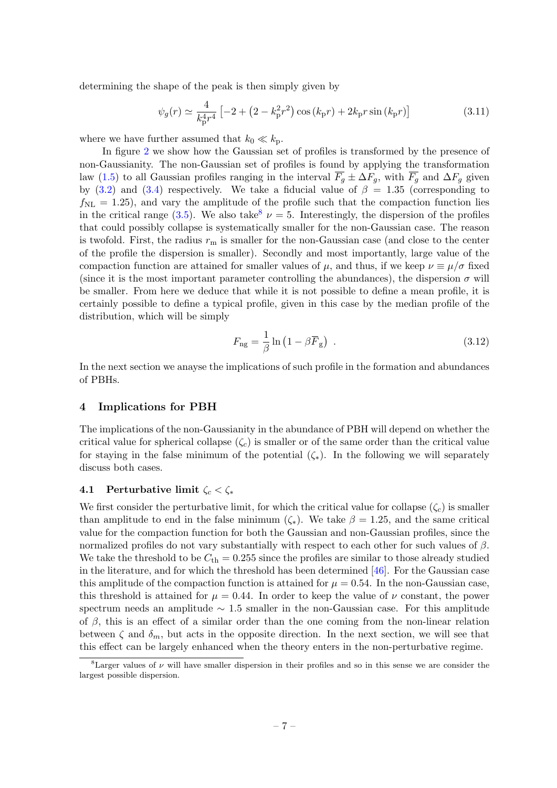determining the shape of the peak is then simply given by

$$
\psi_g(r) \simeq \frac{4}{k_{\rm p}^4 r^4} \left[ -2 + \left( 2 - k_{\rm p}^2 r^2 \right) \cos \left( k_{\rm p} r \right) + 2 k_{\rm p} r \sin \left( k_{\rm p} r \right) \right] \tag{3.11}
$$

where we have further assumed that  $k_0 \ll k_p$ .

In figure [2](#page-8-2) we show how the Gaussian set of profiles is transformed by the presence of non-Gaussianity. The non-Gaussian set of profiles is found by applying the transformation law [\(1.5\)](#page-2-2) to all Gaussian profiles ranging in the interval  $\overline{F_g} \pm \Delta F_g$ , with  $\overline{F_g}$  and  $\Delta F_g$  given by [\(3.2\)](#page-5-3) and [\(3.4\)](#page-5-4) respectively. We take a fiducial value of  $\beta = 1.35$  (corresponding to  $f_{\text{NL}} = 1.25$ , and vary the amplitude of the profile such that the compaction function lies in the critical range [\(3.5\)](#page-5-5). We also take<sup>[8](#page-7-2)</sup>  $\nu = 5$ . Interestingly, the dispersion of the profiles that could possibly collapse is systematically smaller for the non-Gaussian case. The reason is twofold. First, the radius  $r<sub>m</sub>$  is smaller for the non-Gaussian case (and close to the center of the profile the dispersion is smaller). Secondly and most importantly, large value of the compaction function are attained for smaller values of  $\mu$ , and thus, if we keep  $\nu \equiv \mu/\sigma$  fixed (since it is the most important parameter controlling the abundances), the dispersion  $\sigma$  will be smaller. From here we deduce that while it is not possible to define a mean profile, it is certainly possible to define a typical profile, given in this case by the median profile of the distribution, which will be simply

$$
F_{\rm ng} = \frac{1}{\beta} \ln \left( 1 - \beta \overline{F}_{\rm g} \right) \tag{3.12}
$$

In the next section we anayse the implications of such profile in the formation and abundances of PBHs.

#### <span id="page-7-0"></span>4 Implications for PBH

The implications of the non-Gaussianity in the abundance of PBH will depend on whether the critical value for spherical collapse  $(\zeta_c)$  is smaller or of the same order than the critical value for staying in the false minimum of the potential  $(\zeta_*)$ . In the following we will separately discuss both cases.

#### <span id="page-7-1"></span>4.1 Perturbative limit  $\zeta_c < \zeta_*$

We first consider the perturbative limit, for which the critical value for collapse  $(\zeta_c)$  is smaller than amplitude to end in the false minimum  $(\zeta_*)$ . We take  $\beta = 1.25$ , and the same critical value for the compaction function for both the Gaussian and non-Gaussian profiles, since the normalized profiles do not vary substantially with respect to each other for such values of  $\beta$ . We take the threshold to be  $C_{\text{th}} = 0.255$  since the profiles are similar to those already studied in the literature, and for which the threshold has been determined [\[46\]](#page-12-11). For the Gaussian case this amplitude of the compaction function is attained for  $\mu = 0.54$ . In the non-Gaussian case, this threshold is attained for  $\mu = 0.44$ . In order to keep the value of  $\nu$  constant, the power spectrum needs an amplitude  $\sim$  1.5 smaller in the non-Gaussian case. For this amplitude of  $\beta$ , this is an effect of a similar order than the one coming from the non-linear relation between  $\zeta$  and  $\delta_m$ , but acts in the opposite direction. In the next section, we will see that this effect can be largely enhanced when the theory enters in the non-perturbative regime.

<span id="page-7-2"></span><sup>&</sup>lt;sup>8</sup>Larger values of  $\nu$  will have smaller dispersion in their profiles and so in this sense we are consider the largest possible dispersion.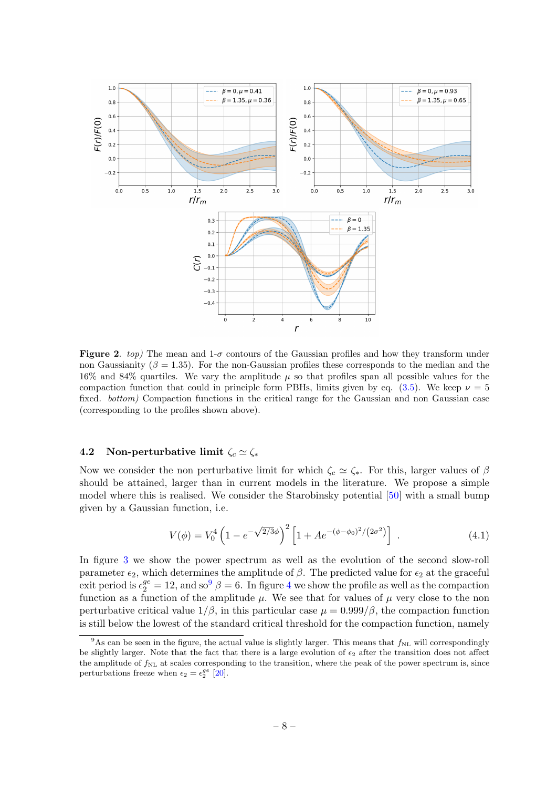<span id="page-8-2"></span>

**Figure 2.** top) The mean and  $1-\sigma$  contours of the Gaussian profiles and how they transform under non Gaussianity ( $\beta = 1.35$ ). For the non-Gaussian profiles these corresponds to the median and the 16% and 84% quartiles. We vary the amplitude  $\mu$  so that profiles span all possible values for the compaction function that could in principle form PBHs, limits given by eq.  $(3.5)$ . We keep  $\nu = 5$ fixed. bottom) Compaction functions in the critical range for the Gaussian and non Gaussian case (corresponding to the profiles shown above).

## <span id="page-8-0"></span>4.2 Non-perturbative limit  $\zeta_c \simeq \zeta_*$

Now we consider the non perturbative limit for which  $\zeta_c \simeq \zeta_*$ . For this, larger values of  $\beta$ should be attained, larger than in current models in the literature. We propose a simple model where this is realised. We consider the Starobinsky potential [\[50\]](#page-12-16) with a small bump given by a Gaussian function, i.e.

<span id="page-8-1"></span>
$$
V(\phi) = V_0^4 \left( 1 - e^{-\sqrt{2/3}\phi} \right)^2 \left[ 1 + A e^{-(\phi - \phi_0)^2/(2\sigma^2)} \right] \,. \tag{4.1}
$$

In figure [3](#page-9-0) we show the power spectrum as well as the evolution of the second slow-roll parameter  $\epsilon_2$ , which determines the amplitude of  $\beta$ . The predicted value for  $\epsilon_2$  at the graceful exit period is  $\epsilon_2^{ge} = 12$ , and so<sup>[9](#page-8-3)</sup>  $\beta = 6$ . In figure [4](#page-9-1) we show the profile as well as the compaction function as a function of the amplitude  $\mu$ . We see that for values of  $\mu$  very close to the non perturbative critical value  $1/\beta$ , in this particular case  $\mu = 0.999/\beta$ , the compaction function is still below the lowest of the standard critical threshold for the compaction function, namely

<span id="page-8-3"></span><sup>&</sup>lt;sup>9</sup>As can be seen in the figure, the actual value is slightly larger. This means that  $f_{\text{NL}}$  will correspondingly be slightly larger. Note that the fact that there is a large evolution of  $\epsilon_2$  after the transition does not affect the amplitude of  $f_{NL}$  at scales corresponding to the transition, where the peak of the power spectrum is, since perturbations freeze when  $\epsilon_2 = \epsilon_2^{ge}$  [\[20\]](#page-11-11).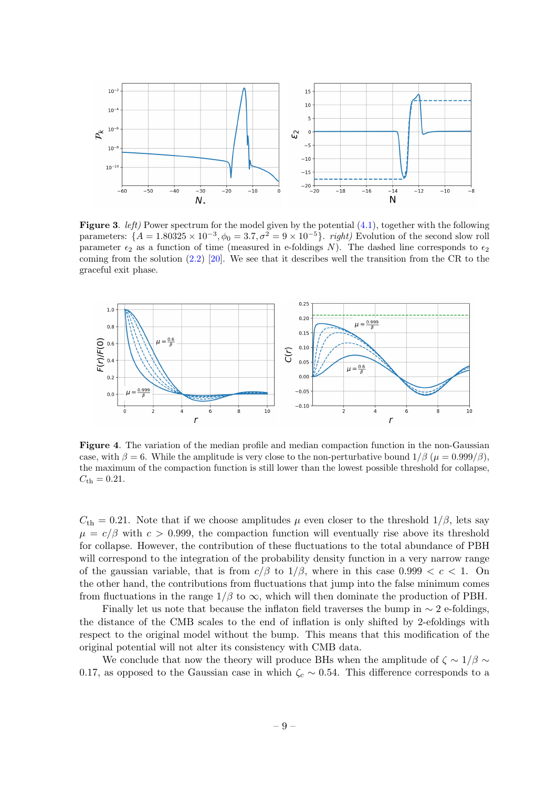<span id="page-9-0"></span>

**Figure 3.** *left*) Power spectrum for the model given by the potential  $(4.1)$ , together with the following parameters:  $\{A = 1.80325 \times 10^{-3}, \phi_0 = 3.7, \sigma^2 = 9 \times 10^{-5}\}$ . *right*) Evolution of the second slow roll parameter  $\epsilon_2$  as a function of time (measured in e-foldings N). The dashed line corresponds to  $\epsilon_2$ coming from the solution [\(2.2\)](#page-3-2) [\[20\]](#page-11-11). We see that it describes well the transition from the CR to the graceful exit phase.

<span id="page-9-1"></span>

Figure 4. The variation of the median profile and median compaction function in the non-Gaussian case, with  $\beta = 6$ . While the amplitude is very close to the non-perturbative bound  $1/\beta$  ( $\mu = 0.999/\beta$ ). the maximum of the compaction function is still lower than the lowest possible threshold for collapse,  $C_{\rm th} = 0.21.$ 

 $C_{\text{th}} = 0.21$ . Note that if we choose amplitudes  $\mu$  even closer to the threshold  $1/\beta$ , lets say  $\mu = c/\beta$  with  $c > 0.999$ , the compaction function will eventually rise above its threshold for collapse. However, the contribution of these fluctuations to the total abundance of PBH will correspond to the integration of the probability density function in a very narrow range of the gaussian variable, that is from  $c/\beta$  to  $1/\beta$ , where in this case 0.999  $\lt c \lt 1$ . On the other hand, the contributions from fluctuations that jump into the false minimum comes from fluctuations in the range  $1/\beta$  to  $\infty$ , which will then dominate the production of PBH.

Finally let us note that because the inflaton field traverses the bump in  $\sim$  2 e-foldings, the distance of the CMB scales to the end of inflation is only shifted by 2-efoldings with respect to the original model without the bump. This means that this modification of the original potential will not alter its consistency with CMB data.

We conclude that now the theory will produce BHs when the amplitude of  $\zeta \sim 1/\beta \sim$ 0.17, as opposed to the Gaussian case in which  $\zeta_c \sim 0.54$ . This difference corresponds to a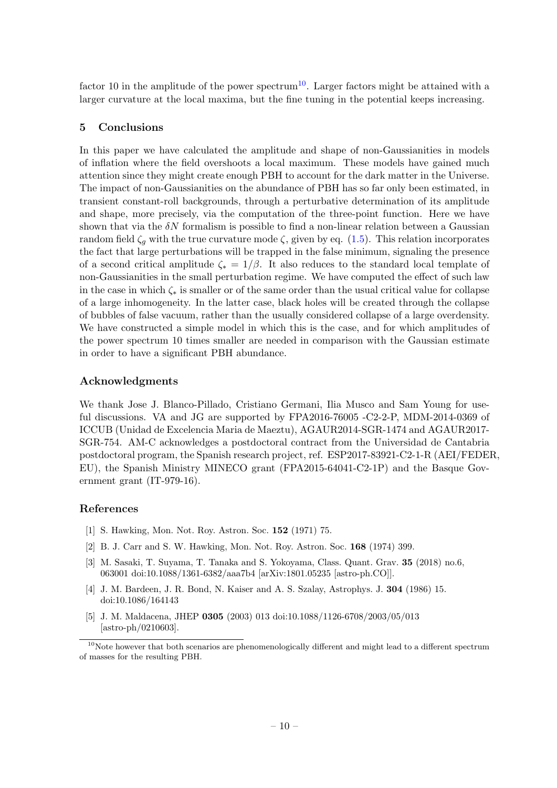factor [10](#page-10-6) in the amplitude of the power spectrum<sup>10</sup>. Larger factors might be attained with a larger curvature at the local maxima, but the fine tuning in the potential keeps increasing.

# <span id="page-10-0"></span>5 Conclusions

In this paper we have calculated the amplitude and shape of non-Gaussianities in models of inflation where the field overshoots a local maximum. These models have gained much attention since they might create enough PBH to account for the dark matter in the Universe. The impact of non-Gaussianities on the abundance of PBH has so far only been estimated, in transient constant-roll backgrounds, through a perturbative determination of its amplitude and shape, more precisely, via the computation of the three-point function. Here we have shown that via the  $\delta N$  formalism is possible to find a non-linear relation between a Gaussian random field  $\zeta_q$  with the true curvature mode  $\zeta$ , given by eq. [\(1.5\)](#page-2-2). This relation incorporates the fact that large perturbations will be trapped in the false minimum, signaling the presence of a second critical amplitude  $\zeta_* = 1/\beta$ . It also reduces to the standard local template of non-Gaussianities in the small perturbation regime. We have computed the effect of such law in the case in which  $\zeta_*$  is smaller or of the same order than the usual critical value for collapse of a large inhomogeneity. In the latter case, black holes will be created through the collapse of bubbles of false vacuum, rather than the usually considered collapse of a large overdensity. We have constructed a simple model in which this is the case, and for which amplitudes of the power spectrum 10 times smaller are needed in comparison with the Gaussian estimate in order to have a significant PBH abundance.

# Acknowledgments

We thank Jose J. Blanco-Pillado, Cristiano Germani, Ilia Musco and Sam Young for useful discussions. VA and JG are supported by FPA2016-76005 -C2-2-P, MDM-2014-0369 of ICCUB (Unidad de Excelencia Maria de Maeztu), AGAUR2014-SGR-1474 and AGAUR2017- SGR-754. AM-C acknowledges a postdoctoral contract from the Universidad de Cantabria postdoctoral program, the Spanish research project, ref. ESP2017-83921-C2-1-R (AEI/FEDER, EU), the Spanish Ministry MINECO grant (FPA2015-64041-C2-1P) and the Basque Government grant (IT-979-16).

# References

- <span id="page-10-1"></span>[1] S. Hawking, Mon. Not. Roy. Astron. Soc. 152 (1971) 75.
- <span id="page-10-2"></span>[2] B. J. Carr and S. W. Hawking, Mon. Not. Roy. Astron. Soc. 168 (1974) 399.
- <span id="page-10-3"></span>[3] M. Sasaki, T. Suyama, T. Tanaka and S. Yokoyama, Class. Quant. Grav. 35 (2018) no.6, 063001 doi:10.1088/1361-6382/aaa7b4 [arXiv:1801.05235 [astro-ph.CO]].
- <span id="page-10-4"></span>[4] J. M. Bardeen, J. R. Bond, N. Kaiser and A. S. Szalay, Astrophys. J. 304 (1986) 15. doi:10.1086/164143
- <span id="page-10-5"></span>[5] J. M. Maldacena, JHEP 0305 (2003) 013 doi:10.1088/1126-6708/2003/05/013 [astro-ph/0210603].

<span id="page-10-6"></span> $10$ Note however that both scenarios are phenomenologically different and might lead to a different spectrum of masses for the resulting PBH.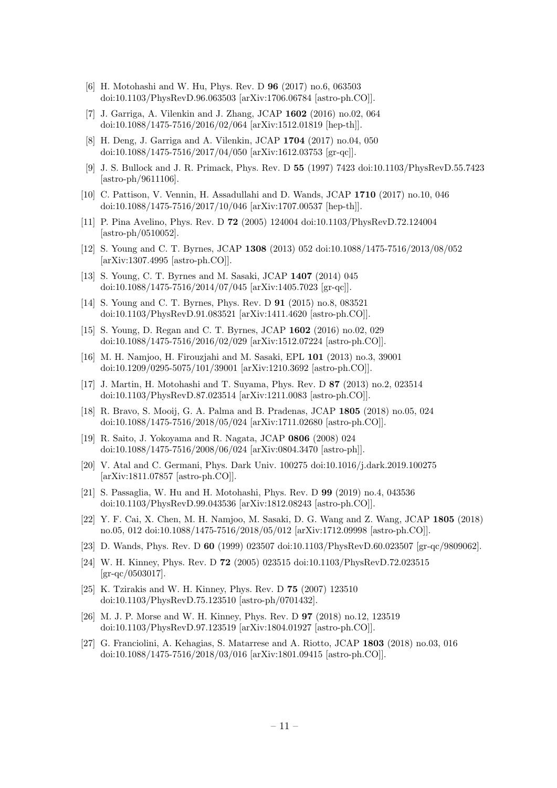- <span id="page-11-0"></span>[6] H. Motohashi and W. Hu, Phys. Rev. D 96 (2017) no.6, 063503 doi:10.1103/PhysRevD.96.063503 [arXiv:1706.06784 [astro-ph.CO]].
- <span id="page-11-7"></span>[7] J. Garriga, A. Vilenkin and J. Zhang, JCAP 1602 (2016) no.02, 064 doi:10.1088/1475-7516/2016/02/064 [arXiv:1512.01819 [hep-th]].
- <span id="page-11-8"></span>[8] H. Deng, J. Garriga and A. Vilenkin, JCAP 1704 (2017) no.04, 050 doi:10.1088/1475-7516/2017/04/050 [arXiv:1612.03753 [gr-qc]].
- <span id="page-11-1"></span>[9] J. S. Bullock and J. R. Primack, Phys. Rev. D 55 (1997) 7423 doi:10.1103/PhysRevD.55.7423 [astro-ph/9611106].
- <span id="page-11-2"></span>[10] C. Pattison, V. Vennin, H. Assadullahi and D. Wands, JCAP 1710 (2017) no.10, 046 doi:10.1088/1475-7516/2017/10/046 [arXiv:1707.00537 [hep-th]].
- <span id="page-11-3"></span>[11] P. Pina Avelino, Phys. Rev. D 72 (2005) 124004 doi:10.1103/PhysRevD.72.124004  $[astro-ph/0510052]$ .
- [12] S. Young and C. T. Byrnes, JCAP 1308 (2013) 052 doi:10.1088/1475-7516/2013/08/052 [arXiv:1307.4995 [astro-ph.CO]].
- [13] S. Young, C. T. Byrnes and M. Sasaki, JCAP 1407 (2014) 045 doi:10.1088/1475-7516/2014/07/045 [arXiv:1405.7023 [gr-qc]].
- [14] S. Young and C. T. Byrnes, Phys. Rev. D 91 (2015) no.8, 083521 doi:10.1103/PhysRevD.91.083521 [arXiv:1411.4620 [astro-ph.CO]].
- <span id="page-11-4"></span>[15] S. Young, D. Regan and C. T. Byrnes, JCAP 1602 (2016) no.02, 029 doi:10.1088/1475-7516/2016/02/029 [arXiv:1512.07224 [astro-ph.CO]].
- <span id="page-11-9"></span>[16] M. H. Namjoo, H. Firouzjahi and M. Sasaki, EPL 101 (2013) no.3, 39001 doi:10.1209/0295-5075/101/39001 [arXiv:1210.3692 [astro-ph.CO]].
- [17] J. Martin, H. Motohashi and T. Suyama, Phys. Rev. D 87 (2013) no.2, 023514 doi:10.1103/PhysRevD.87.023514 [arXiv:1211.0083 [astro-ph.CO]].
- <span id="page-11-10"></span>[18] R. Bravo, S. Mooij, G. A. Palma and B. Pradenas, JCAP 1805 (2018) no.05, 024 doi:10.1088/1475-7516/2018/05/024 [arXiv:1711.02680 [astro-ph.CO]].
- <span id="page-11-5"></span>[19] R. Saito, J. Yokoyama and R. Nagata, JCAP 0806 (2008) 024 doi:10.1088/1475-7516/2008/06/024 [arXiv:0804.3470 [astro-ph]].
- <span id="page-11-11"></span>[20] V. Atal and C. Germani, Phys. Dark Univ. 100275 doi:10.1016/j.dark.2019.100275 [arXiv:1811.07857 [astro-ph.CO]].
- [21] S. Passaglia, W. Hu and H. Motohashi, Phys. Rev. D 99 (2019) no.4, 043536 doi:10.1103/PhysRevD.99.043536 [arXiv:1812.08243 [astro-ph.CO]].
- <span id="page-11-6"></span>[22] Y. F. Cai, X. Chen, M. H. Namjoo, M. Sasaki, D. G. Wang and Z. Wang, JCAP 1805 (2018) no.05, 012 doi:10.1088/1475-7516/2018/05/012 [arXiv:1712.09998 [astro-ph.CO]].
- <span id="page-11-12"></span>[23] D. Wands, Phys. Rev. D 60 (1999) 023507 doi:10.1103/PhysRevD.60.023507 [gr-qc/9809062].
- [24] W. H. Kinney, Phys. Rev. D 72 (2005) 023515 doi:10.1103/PhysRevD.72.023515  $\left[ \frac{\text{gr-qc}}{\text{0503017}} \right]$ .
- [25] K. Tzirakis and W. H. Kinney, Phys. Rev. D 75 (2007) 123510 doi:10.1103/PhysRevD.75.123510 [astro-ph/0701432].
- <span id="page-11-13"></span>[26] M. J. P. Morse and W. H. Kinney, Phys. Rev. D 97 (2018) no.12, 123519 doi:10.1103/PhysRevD.97.123519 [arXiv:1804.01927 [astro-ph.CO]].
- <span id="page-11-14"></span>[27] G. Franciolini, A. Kehagias, S. Matarrese and A. Riotto, JCAP 1803 (2018) no.03, 016 doi:10.1088/1475-7516/2018/03/016 [arXiv:1801.09415 [astro-ph.CO]].